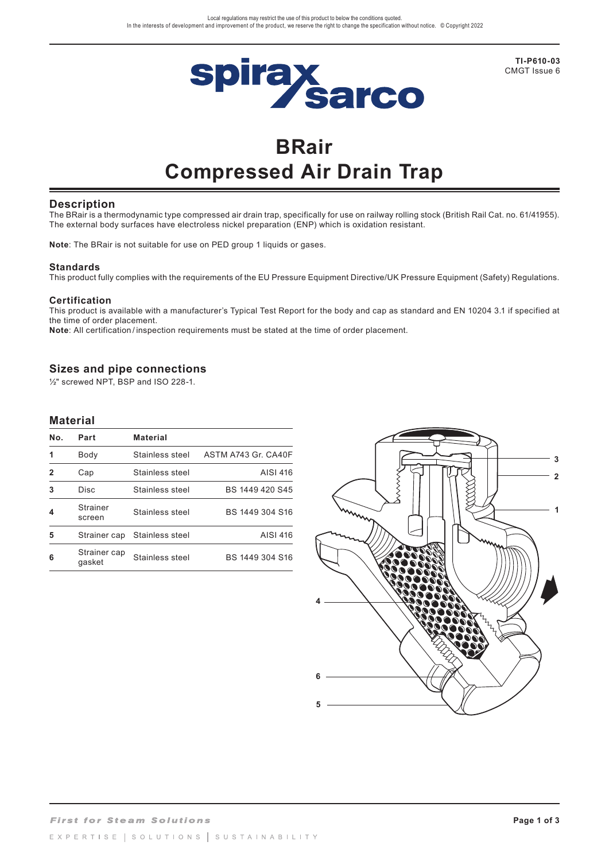

**TI-P610-03** CMGT Issue 6

# **BRair Compressed Air Drain Trap**

## **Description**

The BRair is a thermodynamic type compressed air drain trap, specifically for use on railway rolling stock (British Rail Cat. no. 61/41955). The external body surfaces have electroless nickel preparation (ENP) which is oxidation resistant.

**Note**: The BRair is not suitable for use on PED group 1 liquids or gases.

#### **Standards**

This product fully complies with the requirements of the EU Pressure Equipment Directive/UK Pressure Equipment (Safety) Regulations.

#### **Certification**

This product is available with a manufacturer's Typical Test Report for the body and cap as standard and EN 10204 3.1 if specified at the time of order placement.

**Note**: All certification / inspection requirements must be stated at the time of order placement.

## **Sizes and pipe connections**

½" screwed NPT, BSP and ISO 228-1.

## **Material**

| No. | Part                      | <b>Material</b> |                     |
|-----|---------------------------|-----------------|---------------------|
| 1   | Body                      | Stainless steel | ASTM A743 Gr. CA40F |
| 2   | Cap                       | Stainless steel | AISI 416            |
| 3   | Disc                      | Stainless steel | BS 1449 420 S45     |
| 4   | <b>Strainer</b><br>screen | Stainless steel | BS 1449 304 S16     |
| 5   | Strainer cap              | Stainless steel | AISI 416            |
| 6   | Strainer cap<br>qasket    | Stainless steel | BS 1449 304 S16     |

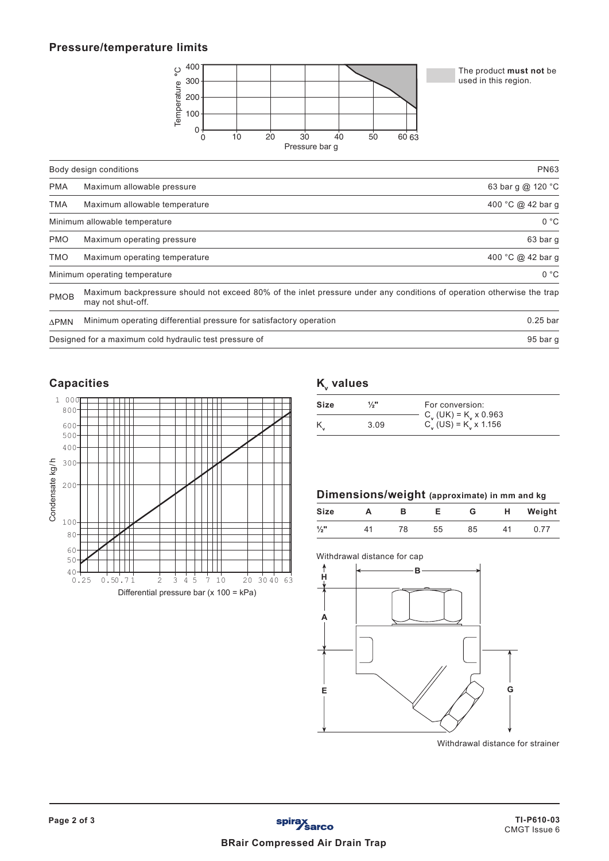## **Pressure/temperature limits**



The product **must not** be used in this region.

|              | Body design conditions                                                                                                                     | <b>PN63</b>       |  |
|--------------|--------------------------------------------------------------------------------------------------------------------------------------------|-------------------|--|
| <b>PMA</b>   | Maximum allowable pressure                                                                                                                 | 63 bar g @ 120 °C |  |
| <b>TMA</b>   | Maximum allowable temperature                                                                                                              | 400 °C @ 42 bar q |  |
|              | Minimum allowable temperature                                                                                                              | 0 °C              |  |
| <b>PMO</b>   | Maximum operating pressure                                                                                                                 | 63 bar q          |  |
| <b>TMO</b>   | Maximum operating temperature                                                                                                              | 400 °C @ 42 bar g |  |
|              | Minimum operating temperature                                                                                                              | 0 °C              |  |
| <b>PMOB</b>  | Maximum backpressure should not exceed 80% of the inlet pressure under any conditions of operation otherwise the trap<br>may not shut-off. |                   |  |
| $\Delta$ PMN | Minimum operating differential pressure for satisfactory operation                                                                         | $0.25$ bar        |  |
|              | Designed for a maximum cold hydraulic test pressure of                                                                                     | 95 bar g          |  |

## **Capacities**



# **K**<sub>v</sub> values

| Size | 1/3" | For conversion:                                                            |
|------|------|----------------------------------------------------------------------------|
|      | 3.09 | $C_y$ (UK) = K <sub>y</sub> x 0.963<br>$C_v$ (US) = K <sub>v</sub> x 1.156 |

## **Dimensions/weight (approximate) in mm and kg**

| <b>Size</b>     |    |    |    |    | н | Weight |
|-----------------|----|----|----|----|---|--------|
| $\frac{1}{2}$ " | 11 | 78 | 55 | 85 |   |        |

## Withdrawal distance for cap



Withdrawal distance for strainer